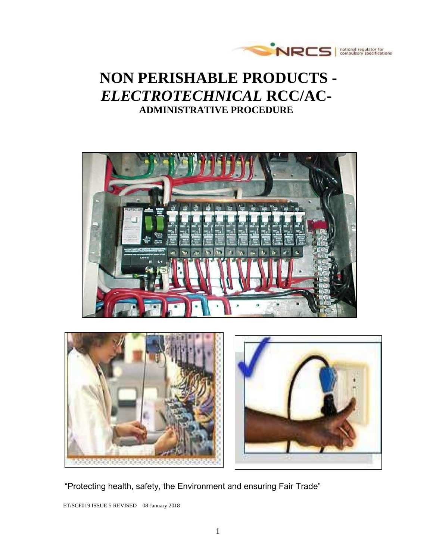

# **NON PERISHABLE PRODUCTS -** *ELECTROTECHNICAL* **RCC/AC-ADMINISTRATIVE PROCEDURE**





"Protecting health, safety, the Environment and ensuring Fair Trade"

ET/SCF019 ISSUE 5 REVISED 08 January 2018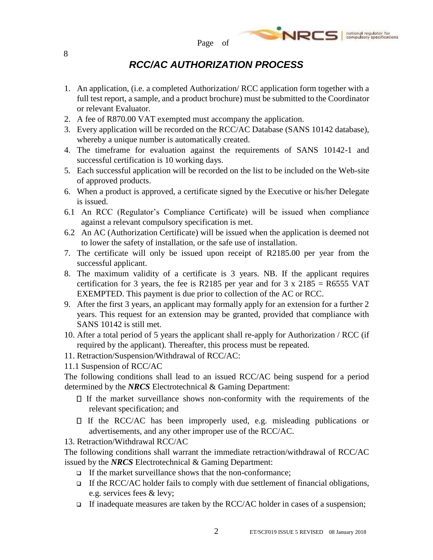## *RCC/AC AUTHORIZATION PROCESS*

- 1. An application, (i.e. a completed Authorization/ RCC application form together with a full test report, a sample, and a product brochure) must be submitted to the Coordinator or relevant Evaluator.
- 2. A fee of R870.00 VAT exempted must accompany the application.
- 3. Every application will be recorded on the RCC/AC Database (SANS 10142 database), whereby a unique number is automatically created.
- 4. The timeframe for evaluation against the requirements of SANS 10142-1 and successful certification is 10 working days.
- 5. Each successful application will be recorded on the list to be included on the Web-site of approved products.
- 6. When a product is approved, a certificate signed by the Executive or his/her Delegate is issued.
- 6.1 An RCC (Regulator's Compliance Certificate) will be issued when compliance against a relevant compulsory specification is met.
- 6.2 An AC (Authorization Certificate) will be issued when the application is deemed not to lower the safety of installation, or the safe use of installation.
- 7. The certificate will only be issued upon receipt of R2185.00 per year from the successful applicant.
- 8. The maximum validity of a certificate is 3 years. NB. If the applicant requires certification for 3 years, the fee is R2185 per year and for  $3 \times 2185 = R6555 \text{ VAT}$ EXEMPTED. This payment is due prior to collection of the AC or RCC.
- 9. After the first 3 years, an applicant may formally apply for an extension for a further 2 years. This request for an extension may be granted, provided that compliance with SANS 10142 is still met.
- 10. After a total period of 5 years the applicant shall re-apply for Authorization / RCC (if required by the applicant). Thereafter, this process must be repeated.
- 11. Retraction/Suspension/Withdrawal of RCC/AC:
- 11.1 Suspension of RCC/AC

The following conditions shall lead to an issued RCC/AC being suspend for a period determined by the *NRCS* Electrotechnical & Gaming Department:

- $\Box$  If the market surveillance shows non-conformity with the requirements of the relevant specification; and
- $\Box$  If the RCC/AC has been improperly used, e.g. misleading publications or advertisements, and any other improper use of the RCC/AC.
- 13. Retraction/Withdrawal RCC/AC

The following conditions shall warrant the immediate retraction/withdrawal of RCC/AC issued by the *NRCS* Electrotechnical & Gaming Department:

- $\Box$  If the market surveillance shows that the non-conformance;
- If the RCC/AC holder fails to comply with due settlement of financial obligations, e.g. services fees & levy;
- If inadequate measures are taken by the RCC/AC holder in cases of a suspension;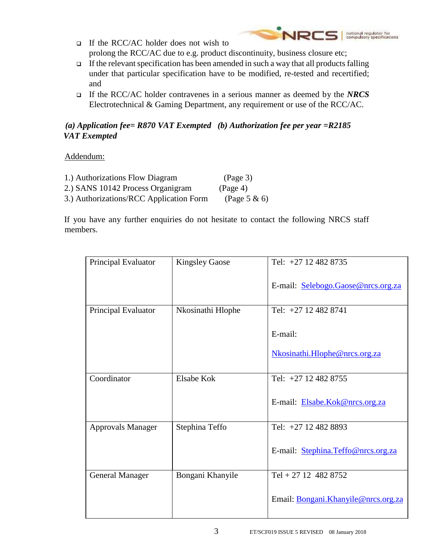- national regulator for<br>compulsory specifications NRCS  $\Box$  If the RCC/AC holder does not wish to prolong the RCC/AC due to e.g. product discontinuity, business closure etc;
- $\Box$  If the relevant specification has been amended in such a way that all products falling under that particular specification have to be modified, re-tested and recertified; and
- If the RCC/AC holder contravenes in a serious manner as deemed by the *NRCS* Electrotechnical & Gaming Department, any requirement or use of the RCC/AC.

### *(a) Application fee= R870 VAT Exempted (b) Authorization fee per year =R2185 VAT Exempted*

Addendum:

| 1.) Authorizations Flow Diagram         | (Page 3)        |
|-----------------------------------------|-----------------|
| 2.) SANS 10142 Process Organigram       | (Page 4)        |
| 3.) Authorizations/RCC Application Form | (Page 5 $\&$ 6) |

If you have any further enquiries do not hesitate to contact the following NRCS staff members.

| Principal Evaluator      | <b>Kingsley Gaose</b> | Tel: $+27$ 12 482 8735              |
|--------------------------|-----------------------|-------------------------------------|
|                          |                       | E-mail: Selebogo.Gaose@nrcs.org.za  |
| Principal Evaluator      | Nkosinathi Hlophe     | Tel: +27 12 482 8741                |
|                          |                       | E-mail:                             |
|                          |                       | Nkosinathi.Hlophe@nrcs.org.za       |
| Coordinator              | Elsabe Kok            | Tel: +27 12 482 8755                |
|                          |                       | E-mail: Elsabe.Kok@nrcs.org.za      |
| <b>Approvals Manager</b> | Stephina Teffo        | Tel: +27 12 482 8893                |
|                          |                       | E-mail: Stephina.Teffo@nrcs.org.za  |
| <b>General Manager</b>   | Bongani Khanyile      | Tel + 27 12 482 8752                |
|                          |                       | Email: Bongani.Khanyile@nrcs.org.za |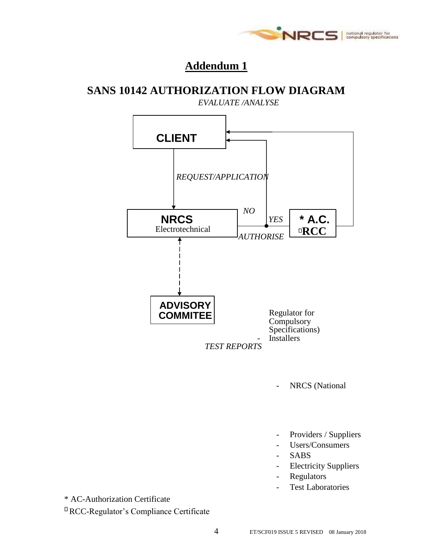

## **Addendum 1**

### **SANS 10142 AUTHORIZATION FLOW DIAGRAM**

 *EVALUATE /ANALYSE REQUEST/APPLICATION NO YES AUTHORISE* Regulator for **Compulsory** Specifications) **Installers CLIENT NRCS** Electrotechnical **ADVISORY COMMITEE \* A.C. RCC**

 *TEST REPORTS*

NRCS (National

- Providers / Suppliers
- Users/Consumers
- SABS
- Electricity Suppliers
- Regulators
- Test Laboratories

\* AC-Authorization Certificate

RCC-Regulator's Compliance Certificate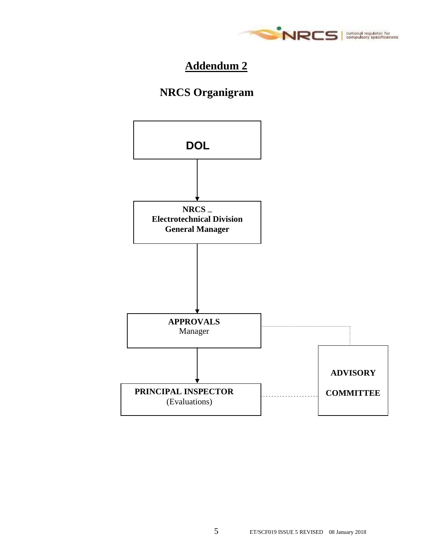

# **Addendum 2**

# **NRCS Organigram**

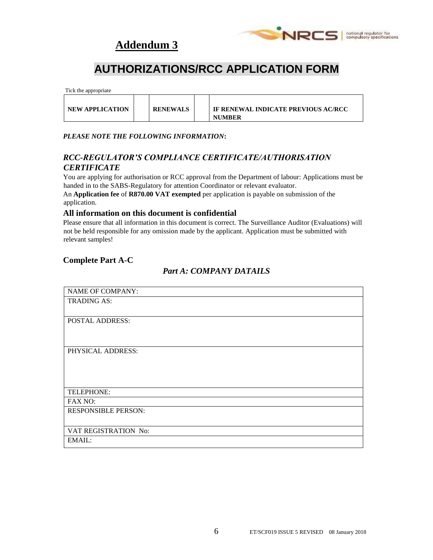## **Addendum 3**



# **AUTHORIZATIONS/RCC APPLICATION FORM**

Tick the appropriate

| <b>NEW APPLICATION</b> |  | <b>RENEWALS</b> |  | IF RENEWAL INDICATE PREVIOUS AC/RCC<br><b>NUMBER</b> |
|------------------------|--|-----------------|--|------------------------------------------------------|
|------------------------|--|-----------------|--|------------------------------------------------------|

#### *PLEASE NOTE THE FOLLOWING INFORMATION***:**

#### *RCC-REGULATOR'S COMPLIANCE CERTIFICATE/AUTHORISATION CERTIFICATE*

You are applying for authorisation or RCC approval from the Department of labour: Applications must be handed in to the SABS-Regulatory for attention Coordinator or relevant evaluator.

An **Application fee** of **R870.00 VAT exempted** per application is payable on submission of the application.

#### **All information on this document is confidential**

Please ensure that all information in this document is correct. The Surveillance Auditor (Evaluations) will not be held responsible for any omission made by the applicant. Application must be submitted with relevant samples!

#### **Complete Part A-C**

### *Part A: COMPANY DATAILS*

| <b>NAME OF COMPANY:</b>    |  |
|----------------------------|--|
| <b>TRADING AS:</b>         |  |
|                            |  |
|                            |  |
| POSTAL ADDRESS:            |  |
|                            |  |
|                            |  |
|                            |  |
| PHYSICAL ADDRESS:          |  |
|                            |  |
|                            |  |
|                            |  |
|                            |  |
|                            |  |
| TELEPHONE:                 |  |
| FAX NO:                    |  |
| <b>RESPONSIBLE PERSON:</b> |  |
|                            |  |
|                            |  |
| VAT REGISTRATION No:       |  |
| EMAIL:                     |  |
|                            |  |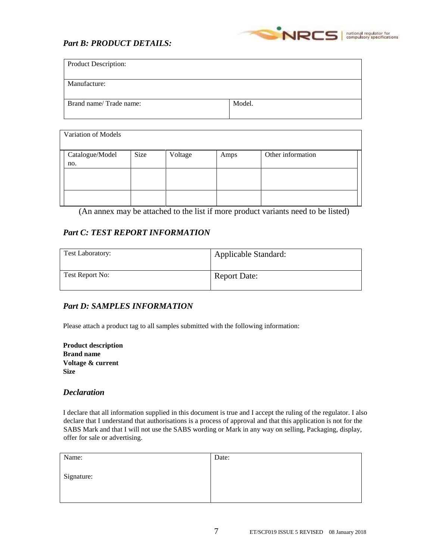### *Part B: PRODUCT DETAILS:*



| Variation of Models    |      |         |      |                   |
|------------------------|------|---------|------|-------------------|
| Catalogue/Model<br>no. | Size | Voltage | Amps | Other information |
|                        |      |         |      |                   |
|                        |      |         |      |                   |

(An annex may be attached to the list if more product variants need to be listed)

### *Part C: TEST REPORT INFORMATION*

| <b>Test Laboratory:</b> | Applicable Standard: |
|-------------------------|----------------------|
| Test Report No:         | <b>Report Date:</b>  |

### *Part D: SAMPLES INFORMATION*

Please attach a product tag to all samples submitted with the following information:

| <b>Product description</b> |
|----------------------------|
| <b>Brand name</b>          |
| Voltage & current          |
| <b>Size</b>                |

#### *Declaration*

I declare that all information supplied in this document is true and I accept the ruling of the regulator. I also declare that I understand that authorisations is a process of approval and that this application is not for the SABS Mark and that I will not use the SABS wording or Mark in any way on selling, Packaging, display, offer for sale or advertising.

| Name:      | Date: |
|------------|-------|
| Signature: |       |